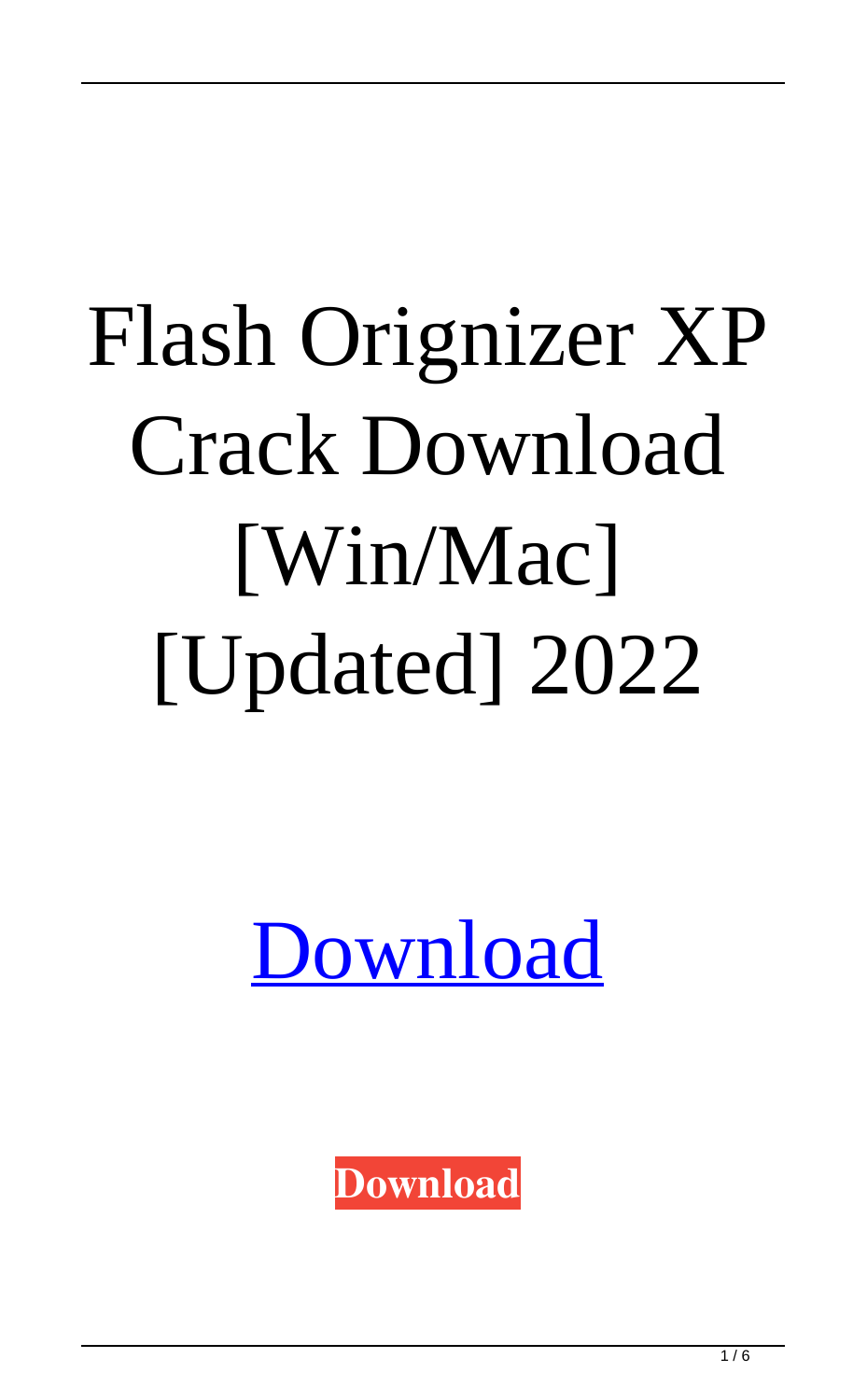# Flash Orignizer XP Crack Download [Win/Mac] [Updated] 2022



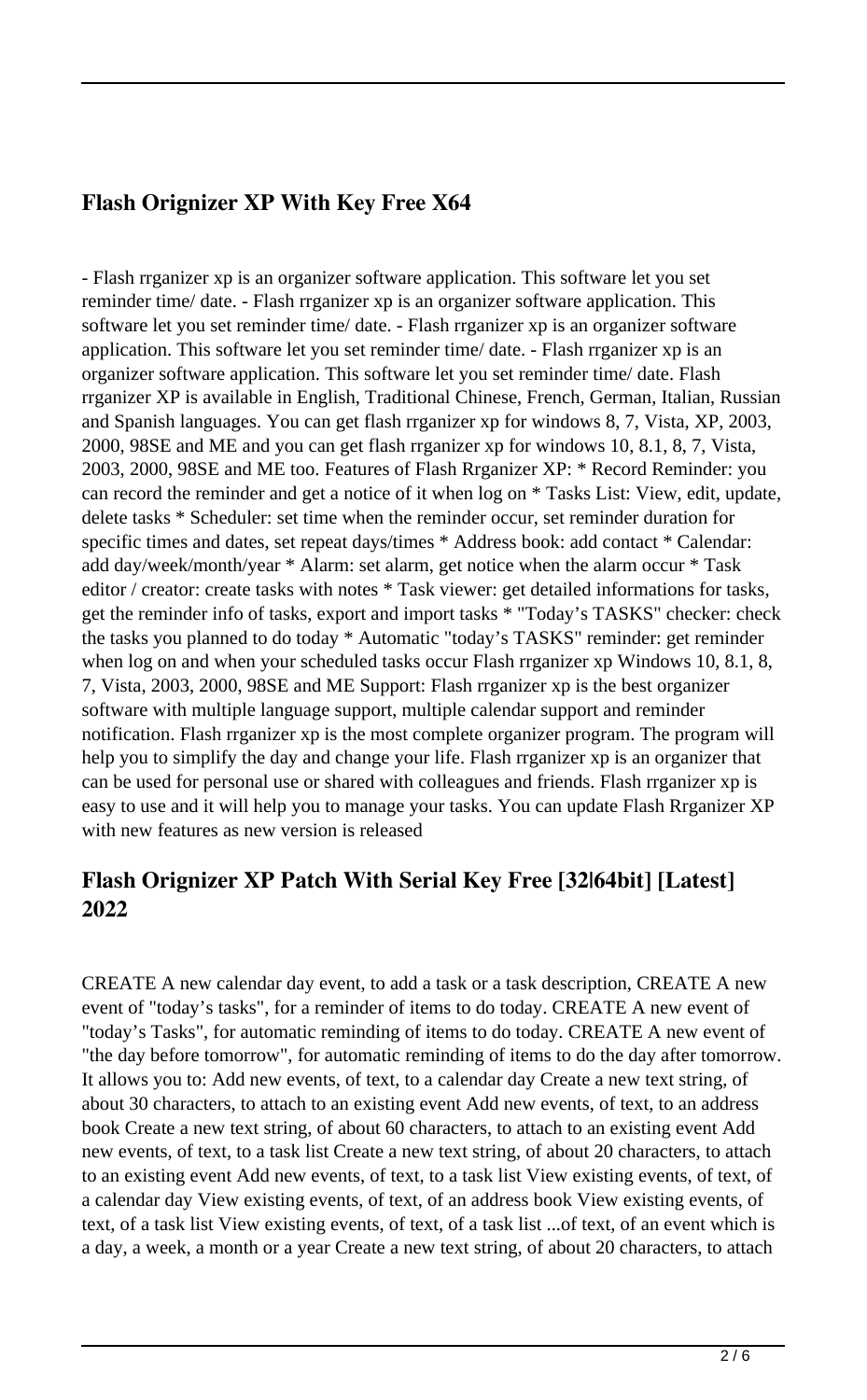#### **Flash Orignizer XP With Key Free X64**

- Flash rrganizer xp is an organizer software application. This software let you set reminder time/ date. - Flash rrganizer xp is an organizer software application. This software let you set reminder time/ date. - Flash rrganizer xp is an organizer software application. This software let you set reminder time/ date. - Flash rrganizer xp is an organizer software application. This software let you set reminder time/ date. Flash rrganizer XP is available in English, Traditional Chinese, French, German, Italian, Russian and Spanish languages. You can get flash rrganizer xp for windows 8, 7, Vista, XP, 2003, 2000, 98SE and ME and you can get flash rrganizer xp for windows 10, 8.1, 8, 7, Vista, 2003, 2000, 98SE and ME too. Features of Flash Rrganizer XP: \* Record Reminder: you can record the reminder and get a notice of it when log on \* Tasks List: View, edit, update, delete tasks \* Scheduler: set time when the reminder occur, set reminder duration for specific times and dates, set repeat days/times \* Address book: add contact \* Calendar: add day/week/month/year \* Alarm: set alarm, get notice when the alarm occur \* Task editor / creator: create tasks with notes \* Task viewer: get detailed informations for tasks, get the reminder info of tasks, export and import tasks \* "Today's TASKS" checker: check the tasks you planned to do today \* Automatic "today's TASKS" reminder: get reminder when log on and when your scheduled tasks occur Flash rrganizer xp Windows 10, 8.1, 8, 7, Vista, 2003, 2000, 98SE and ME Support: Flash rrganizer xp is the best organizer software with multiple language support, multiple calendar support and reminder notification. Flash rrganizer xp is the most complete organizer program. The program will help you to simplify the day and change your life. Flash rrganizer xp is an organizer that can be used for personal use or shared with colleagues and friends. Flash rrganizer xp is easy to use and it will help you to manage your tasks. You can update Flash Rrganizer XP with new features as new version is released

#### **Flash Orignizer XP Patch With Serial Key Free [32|64bit] [Latest] 2022**

CREATE A new calendar day event, to add a task or a task description, CREATE A new event of "today's tasks", for a reminder of items to do today. CREATE A new event of "today's Tasks", for automatic reminding of items to do today. CREATE A new event of "the day before tomorrow", for automatic reminding of items to do the day after tomorrow. It allows you to: Add new events, of text, to a calendar day Create a new text string, of about 30 characters, to attach to an existing event Add new events, of text, to an address book Create a new text string, of about 60 characters, to attach to an existing event Add new events, of text, to a task list Create a new text string, of about 20 characters, to attach to an existing event Add new events, of text, to a task list View existing events, of text, of a calendar day View existing events, of text, of an address book View existing events, of text, of a task list View existing events, of text, of a task list ...of text, of an event which is a day, a week, a month or a year Create a new text string, of about 20 characters, to attach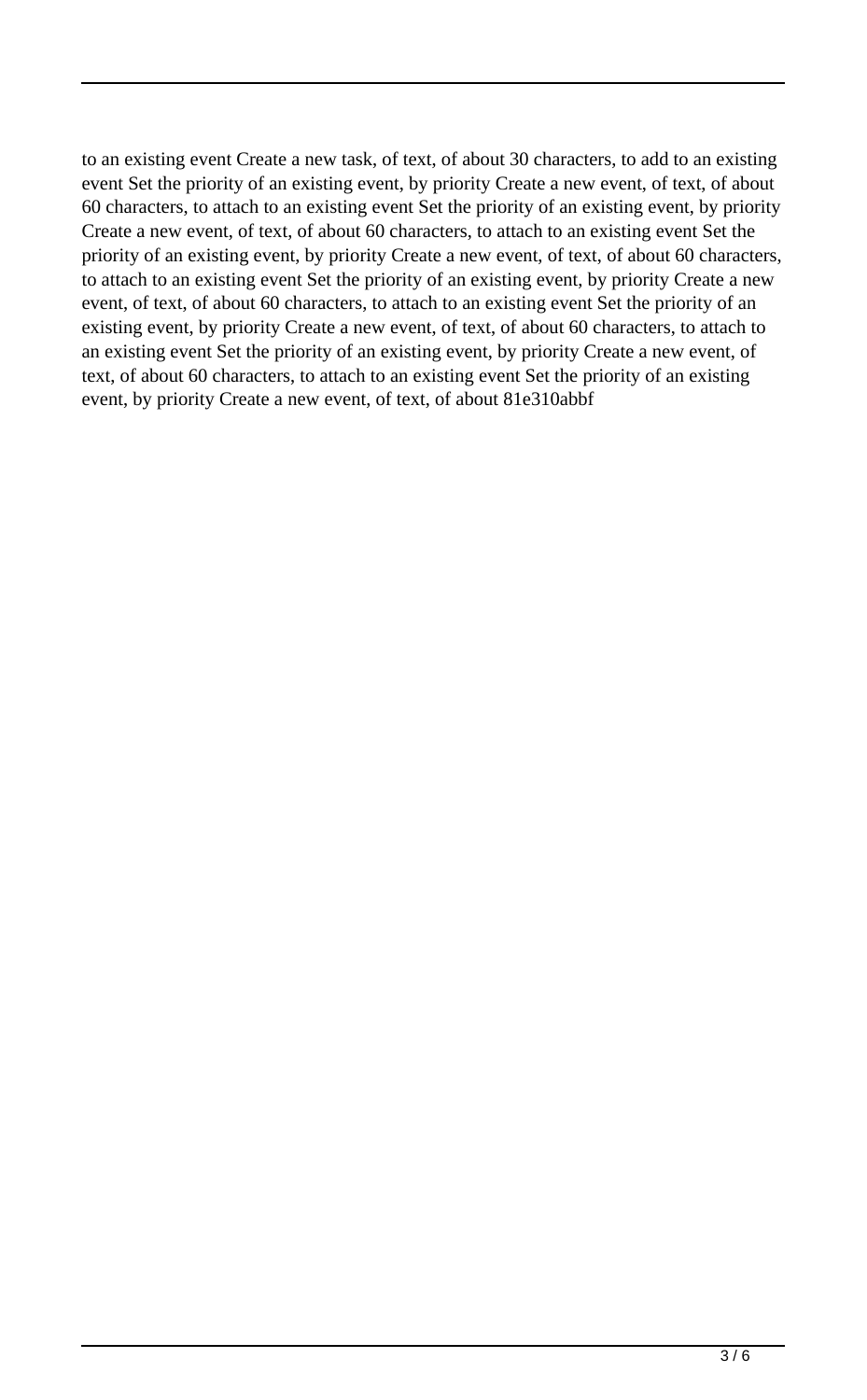to an existing event Create a new task, of text, of about 30 characters, to add to an existing event Set the priority of an existing event, by priority Create a new event, of text, of about 60 characters, to attach to an existing event Set the priority of an existing event, by priority Create a new event, of text, of about 60 characters, to attach to an existing event Set the priority of an existing event, by priority Create a new event, of text, of about 60 characters, to attach to an existing event Set the priority of an existing event, by priority Create a new event, of text, of about 60 characters, to attach to an existing event Set the priority of an existing event, by priority Create a new event, of text, of about 60 characters, to attach to an existing event Set the priority of an existing event, by priority Create a new event, of text, of about 60 characters, to attach to an existing event Set the priority of an existing event, by priority Create a new event, of text, of about 81e310abbf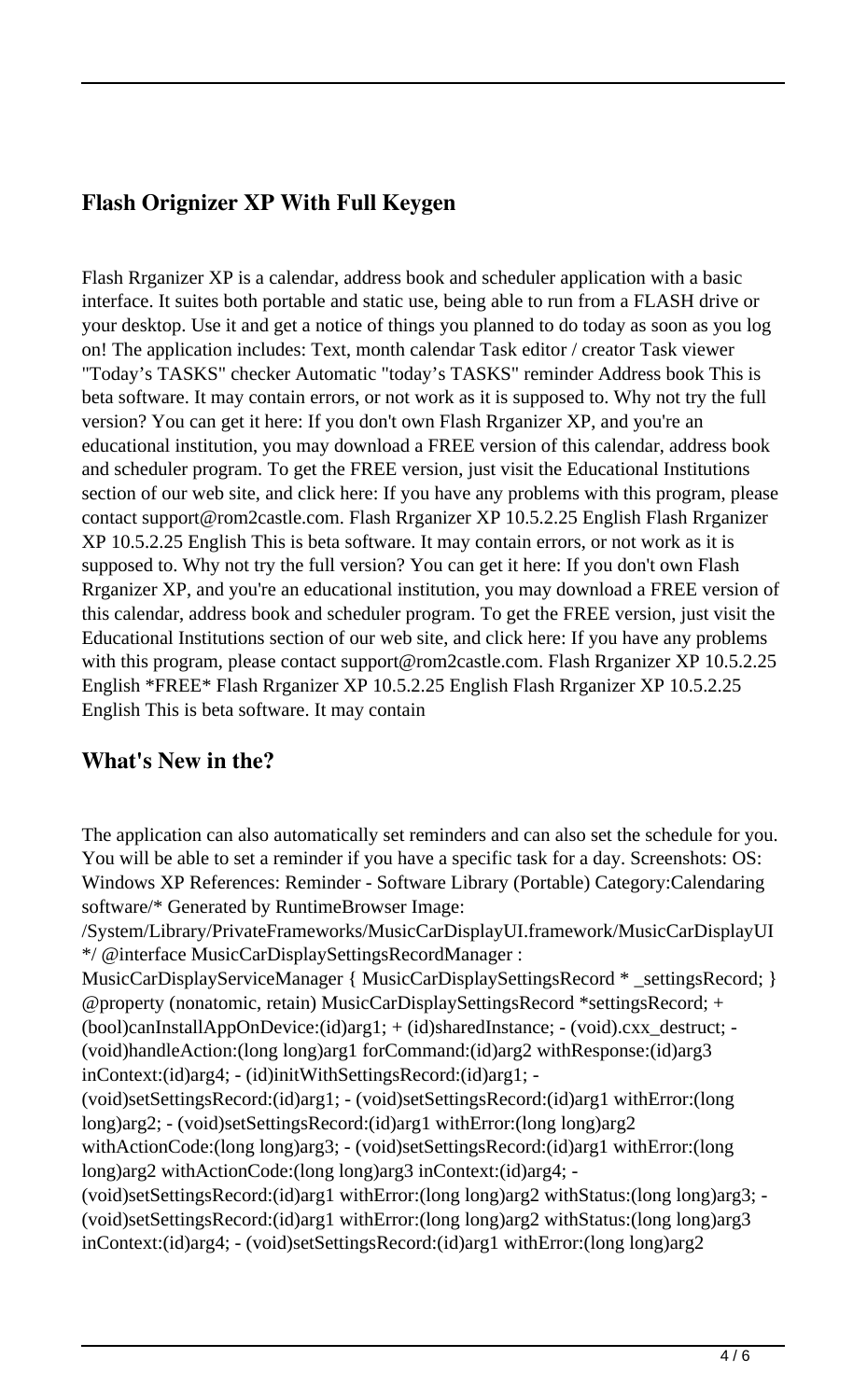### **Flash Orignizer XP With Full Keygen**

Flash Rrganizer XP is a calendar, address book and scheduler application with a basic interface. It suites both portable and static use, being able to run from a FLASH drive or your desktop. Use it and get a notice of things you planned to do today as soon as you log on! The application includes: Text, month calendar Task editor / creator Task viewer "Today's TASKS" checker Automatic "today's TASKS" reminder Address book This is beta software. It may contain errors, or not work as it is supposed to. Why not try the full version? You can get it here: If you don't own Flash Rrganizer XP, and you're an educational institution, you may download a FREE version of this calendar, address book and scheduler program. To get the FREE version, just visit the Educational Institutions section of our web site, and click here: If you have any problems with this program, please contact support@rom2castle.com. Flash Rrganizer XP 10.5.2.25 English Flash Rrganizer XP 10.5.2.25 English This is beta software. It may contain errors, or not work as it is supposed to. Why not try the full version? You can get it here: If you don't own Flash Rrganizer XP, and you're an educational institution, you may download a FREE version of this calendar, address book and scheduler program. To get the FREE version, just visit the Educational Institutions section of our web site, and click here: If you have any problems with this program, please contact support@rom2castle.com. Flash Rrganizer XP 10.5.2.25 English \*FREE\* Flash Rrganizer XP 10.5.2.25 English Flash Rrganizer XP 10.5.2.25 English This is beta software. It may contain

#### **What's New in the?**

The application can also automatically set reminders and can also set the schedule for you. You will be able to set a reminder if you have a specific task for a day. Screenshots: OS: Windows XP References: Reminder - Software Library (Portable) Category:Calendaring software/\* Generated by RuntimeBrowser Image:

/System/Library/PrivateFrameworks/MusicCarDisplayUI.framework/MusicCarDisplayUI \*/ @interface MusicCarDisplaySettingsRecordManager :

MusicCarDisplayServiceManager { MusicCarDisplaySettingsRecord \* \_settingsRecord; } @property (nonatomic, retain) MusicCarDisplaySettingsRecord \*settingsRecord; + (bool)canInstallAppOnDevice:(id)arg1; + (id)sharedInstance; - (void).cxx\_destruct; - (void)handleAction:(long long)arg1 forCommand:(id)arg2 withResponse:(id)arg3 inContext:(id)arg4; - (id)initWithSettingsRecord:(id)arg1; - (void)setSettingsRecord:(id)arg1; - (void)setSettingsRecord:(id)arg1 withError:(long long)arg2; - (void)setSettingsRecord:(id)arg1 withError:(long long)arg2 withActionCode:(long long)arg3; - (void)setSettingsRecord:(id)arg1 withError:(long long)arg2 withActionCode:(long long)arg3 inContext:(id)arg4; - (void)setSettingsRecord:(id)arg1 withError:(long long)arg2 withStatus:(long long)arg3; - (void)setSettingsRecord:(id)arg1 withError:(long long)arg2 withStatus:(long long)arg3 inContext:(id)arg4; - (void)setSettingsRecord:(id)arg1 withError:(long long)arg2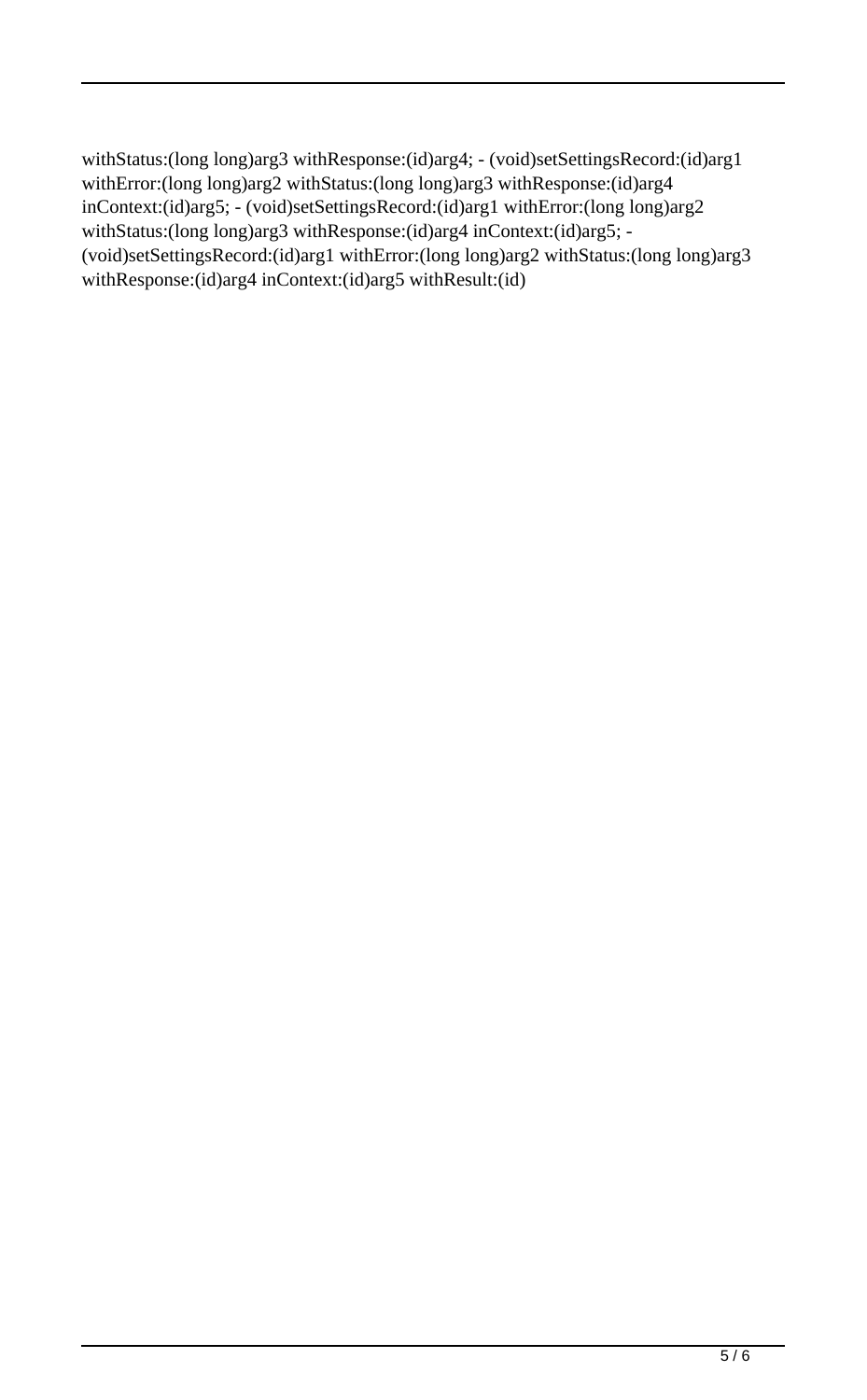withStatus:(long long)arg3 withResponse:(id)arg4; - (void)setSettingsRecord:(id)arg1 withError:(long long)arg2 withStatus:(long long)arg3 withResponse:(id)arg4 inContext:(id)arg5; - (void)setSettingsRecord:(id)arg1 withError:(long long)arg2 withStatus:(long long)arg3 withResponse:(id)arg4 inContext:(id)arg5; -(void)setSettingsRecord:(id)arg1 withError:(long long)arg2 withStatus:(long long)arg3 withResponse:(id)arg4 inContext:(id)arg5 withResult:(id)